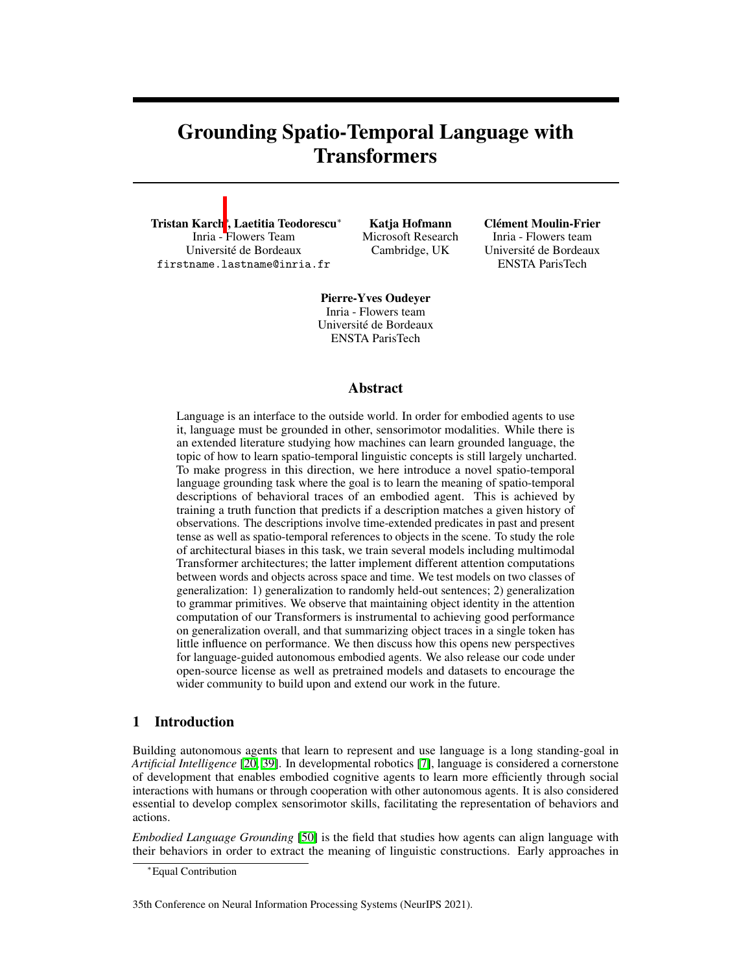# <span id="page-0-3"></span><span id="page-0-1"></span>Grounding Spatio-Temporal Language with **Transformers**

<span id="page-0-0"></span>Tristan Karch<mark>\*, Laetitia Teodorescu\*</mark> Inria - Flowers Team Université de Bordeaux firstname.lastname@inria.fr

Katja Hofmann Microsoft Research Cambridge, UK

Clément Moulin-Frier Inria - Flowers team

Université de Bordeaux ENSTA ParisTech

Pierre-Yves Oudeyer Inria - Flowers team Université de Bordeaux ENSTA ParisTech

### Abstract

<span id="page-0-5"></span><span id="page-0-4"></span><span id="page-0-2"></span>Language is an interface to the outside world. In order for embodied agents to use it, language must be grounded in other, sensorimotor modalities. While there is an extended literature studying how machines can learn grounded language, the topic of how to learn spatio-temporal linguistic concepts is still largely uncharted. To make progress in this direction, we here introduce a novel spatio-temporal language grounding task where the goal is to learn the meaning of spatio-temporal descriptions of behavioral traces of an embodied agent. This is achieved by training a truth function that predicts if a description matches a given history of observations. The descriptions involve time-extended predicates in past and present tense as well as spatio-temporal references to objects in the scene. To study the role of architectural biases in this task, we train several models including multimodal Transformer architectures; the latter implement different attention computations between words and objects across space and time. We test models on two classes of generalization: 1) generalization to randomly held-out sentences; 2) generalization to grammar primitives. We observe that maintaining object identity in the attention computation of our Transformers is instrumental to achieving good performance on generalization overall, and that summarizing object traces in a single token has little influence on performance. We then discuss how this opens new perspectives for language-guided autonomous embodied agents. We also release our code under open-source license as well as pretrained models and datasets to encourage the wider community to build upon and extend our work in the future.

# 1 Introduction

Building autonomous agents that learn to represent and use language is a long standing-goal in *Artificial Intelligence* [\[20,](#page-11-0) [39\]](#page-12-0). In developmental robotics [\[7\]](#page-10-0), language is considered a cornerstone of development that enables embodied cognitive agents to learn more efficiently through social interactions with humans or through cooperation with other autonomous agents. It is also considered essential to develop complex sensorimotor skills, facilitating the representation of behaviors and actions.

*Embodied Language Grounding* [\[50\]](#page-12-1) is the field that studies how agents can align language with their behaviors in order to extract the meaning of linguistic constructions. Early approaches in

35th Conference on Neural Information Processing Systems (NeurIPS 2021).

<sup>⇤</sup>Equal Contribution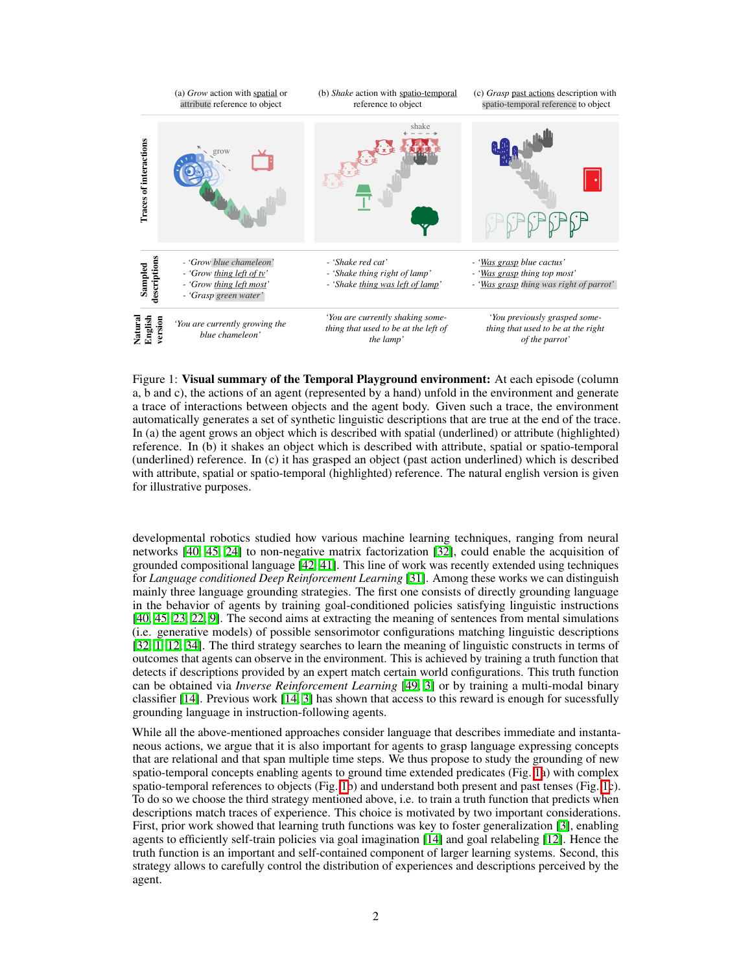

<span id="page-1-0"></span>Figure 1: Visual summary of the Temporal Playground environment: At each episode (column a, b and c), the actions of an agent (represented by a hand) unfold in the environment and generate a trace of interactions between objects and the agent body. Given such a trace, the environment automatically generates a set of synthetic linguistic descriptions that are true at the end of the trace. In (a) the agent grows an object which is described with spatial (underlined) or attribute (highlighted) reference. In (b) it shakes an object which is described with attribute, spatial or spatio-temporal (underlined) reference. In (c) it has grasped an object (past action underlined) which is described with attribute, spatial or spatio-temporal (highlighted) reference. The natural english version is given for illustrative purposes.

developmental robotics studied how various machine learning techniques, ranging from neural networks  $[40, 45, 24]$  $[40, 45, 24]$  $[40, 45, 24]$  $[40, 45, 24]$  $[40, 45, 24]$  to non-negative matrix factorization  $[32]$ , could enable the acquisition of grounded compositional language  $[42, 41]$  $[42, 41]$  $[42, 41]$ . This line of work was recently extended using techniques for *Language conditioned Deep Reinforcement Learning* [\[31\]](#page-11-3). Among these works we can distinguish mainly three language grounding strategies. The first one consists of directly grounding language in the behavior of agents by training goal-conditioned policies satisfying linguistic instructions  $[40, 45, 23, 22, 9]$  $[40, 45, 23, 22, 9]$  $[40, 45, 23, 22, 9]$  $[40, 45, 23, 22, 9]$  $[40, 45, 23, 22, 9]$  $[40, 45, 23, 22, 9]$  $[40, 45, 23, 22, 9]$  $[40, 45, 23, 22, 9]$  $[40, 45, 23, 22, 9]$ . The second aims at extracting the meaning of sentences from mental simulations (i.e. generative models) of possible sensorimotor configurations matching linguistic descriptions [\[32,](#page-11-2) 1], [[12,](#page-10-2) [[34\]](#page-11-6). The third strategy searches to learn the meaning of linguistic constructs in terms of outcomes that agents can observe in the environment. This is achieved by training a truth function that detects if descriptions provided by an expert match certain world configurations. This truth function can be obtained via *Inverse Reinforcement Learning* [\[49,](#page-12-6) [3\]](#page-10-3) or by training a multi-modal binary classifier  $[14]$ . Previous work  $[14, 3]$  $[14, 3]$  $[14, 3]$  has shown that access to this reward is enough for sucessfully grounding language in instruction-following agents.

While all the above-mentioned approaches consider language that describes immediate and instantaneous actions, we argue that it is also important for agents to grasp language expressing concepts that are relational and that span multiple time steps. We thus propose to study the grounding of new spatio-temporal concepts enabling agents to ground time extended predicates (Fig.  $\overline{[1]}$ ) with complex spatio-temporal references to objects (Fig.  $\Pi$ b) and understand both present and past tenses (Fig.  $\Pi$ c). To do so we choose the third strategy mentioned above, i.e. to train a truth function that predicts when descriptions match traces of experience. This choice is motivated by two important considerations. First, prior work showed that learning truth functions was key to foster generalization [\[3\]](#page-10-3), enabling agents to efficiently self-train policies via goal imagination  $\|\vec{14}\|$  and goal relabeling  $\|\vec{12}\|$ . Hence the truth function is an important and self-contained component of larger learning systems. Second, this strategy allows to carefully control the distribution of experiences and descriptions perceived by the agent.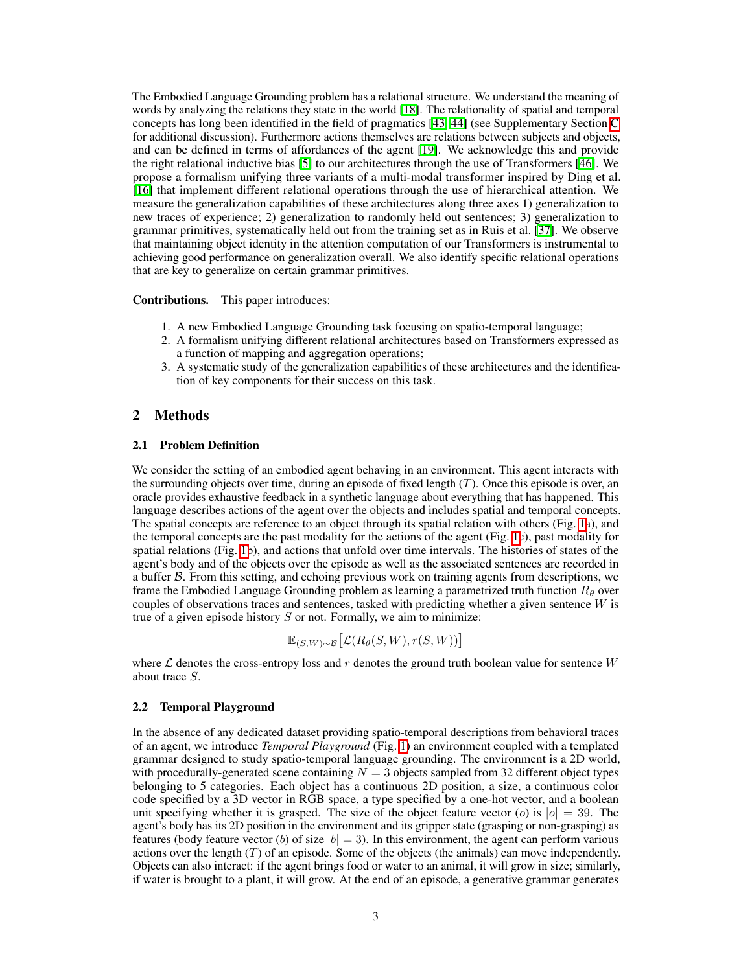The Embodied Language Grounding problem has a relational structure. We understand the meaning of words by analyzing the relations they state in the world [\[18\]](#page-11-7). The relationality of spatial and temporal concepts has long been identified in the field of pragmatics  $[43]$   $[44]$  $[44]$  (see Supplementary Section  $\overline{C}$ for additional discussion). Furthermore actions themselves are relations between subjects and objects, and can be defined in terms of affordances of the agent  $[19]$ . We acknowledge this and provide the right relational inductive bias  $\overline{5}$  to our architectures through the use of Transformers  $\overline{46}$ . We propose a formalism unifying three variants of a multi-modal transformer inspired by Ding et al. [\[16\]](#page-10-6) that implement different relational operations through the use of hierarchical attention. We measure the generalization capabilities of these architectures along three axes 1) generalization to new traces of experience; 2) generalization to randomly held out sentences; 3) generalization to grammar primitives, systematically held out from the training set as in Ruis et al.  $\frac{37}{1}$ . We observe that maintaining object identity in the attention computation of our Transformers is instrumental to achieving good performance on generalization overall. We also identify specific relational operations that are key to generalize on certain grammar primitives.

#### Contributions. This paper introduces:

- 1. A new Embodied Language Grounding task focusing on spatio-temporal language;
- 2. A formalism unifying different relational architectures based on Transformers expressed as a function of mapping and aggregation operations;
- 3. A systematic study of the generalization capabilities of these architectures and the identification of key components for their success on this task.

### 2 Methods

### 2.1 Problem Definition

We consider the setting of an embodied agent behaving in an environment. This agent interacts with the surrounding objects over time, during an episode of fixed length  $(T)$ . Once this episode is over, an oracle provides exhaustive feedback in a synthetic language about everything that has happened. This language describes actions of the agent over the objects and includes spatial and temporal concepts. The spatial concepts are reference to an object through its spatial relation with others (Fig.  $\overline{[h]}$ ), and the temporal concepts are the past modality for the actions of the agent (Fig.  $\Gamma$ c), past modality for spatial relations (Fig.  $\overline{[]}$ b), and actions that unfold over time intervals. The histories of states of the agent's body and of the objects over the episode as well as the associated sentences are recorded in a buffer *B*. From this setting, and echoing previous work on training agents from descriptions, we frame the Embodied Language Grounding problem as learning a parametrized truth function  $R_{\theta}$  over couples of observations traces and sentences, tasked with predicting whether a given sentence *W* is true of a given episode history *S* or not. Formally, we aim to minimize:

$$
\mathbb{E}_{(S, W) \sim \mathcal{B}} \big[ \mathcal{L} (R_{\theta}(S, W), r(S, W)) \big]
$$

where *L* denotes the cross-entropy loss and *r* denotes the ground truth boolean value for sentence *W* about trace *S*.

#### <span id="page-2-0"></span>2.2 Temporal Playground

In the absence of any dedicated dataset providing spatio-temporal descriptions from behavioral traces of an agent, we introduce *Temporal Playground* (Fig. <sup>T</sup>) an environment coupled with a templated grammar designed to study spatio-temporal language grounding. The environment is a 2D world, with procedurally-generated scene containing  $N = 3$  objects sampled from 32 different object types belonging to 5 categories. Each object has a continuous 2D position, a size, a continuous color code specified by a 3D vector in RGB space, a type specified by a one-hot vector, and a boolean unit specifying whether it is grasped. The size of the object feature vector (*o*) is  $|o| = 39$ . The agent's body has its 2D position in the environment and its gripper state (grasping or non-grasping) as features (body feature vector (*b*) of size  $|b| = 3$ ). In this environment, the agent can perform various actions over the length (*T*) of an episode. Some of the objects (the animals) can move independently. Objects can also interact: if the agent brings food or water to an animal, it will grow in size; similarly, if water is brought to a plant, it will grow. At the end of an episode, a generative grammar generates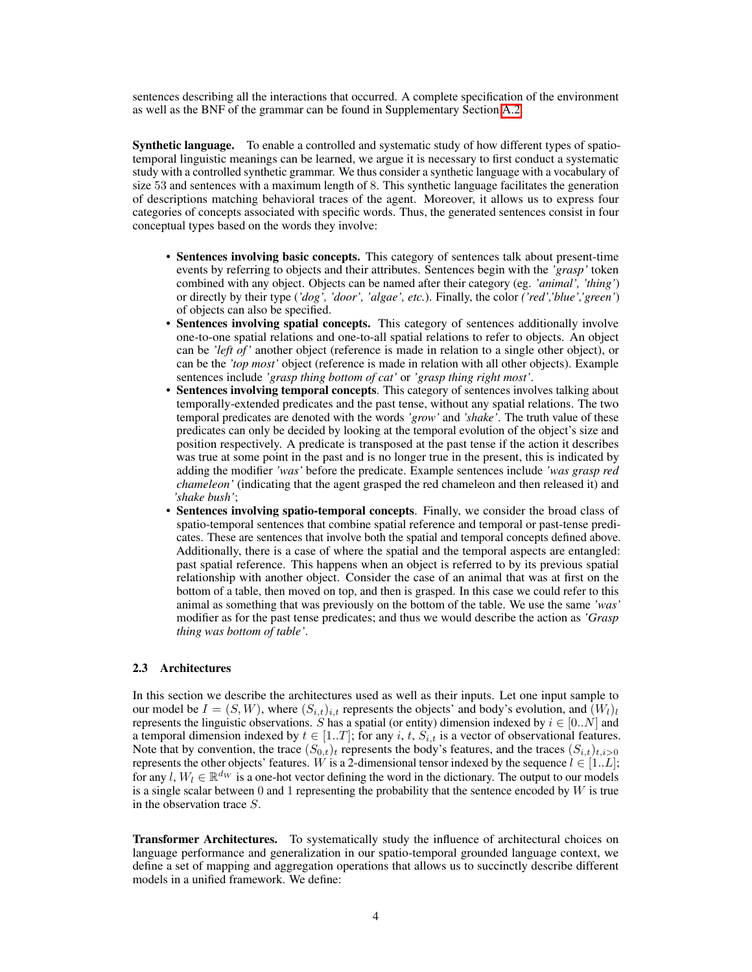sentences describing all the interactions that occurred. A complete specification of the environment as well as the BNF of the grammar can be found in Supplementary Section [A.2.](#page-0-1)

Synthetic language. To enable a controlled and systematic study of how different types of spatiotemporal linguistic meanings can be learned, we argue it is necessary to first conduct a systematic study with a controlled synthetic grammar. We thus consider a synthetic language with a vocabulary of size 53 and sentences with a maximum length of 8. This synthetic language facilitates the generation of descriptions matching behavioral traces of the agent. Moreover, it allows us to express four categories of concepts associated with specific words. Thus, the generated sentences consist in four conceptual types based on the words they involve:

- Sentences involving basic concepts. This category of sentences talk about present-time events by referring to objects and their attributes. Sentences begin with the *'grasp'* token combined with any object. Objects can be named after their category (eg. *'animal', 'thing'*) or directly by their type (*'dog', 'door', 'algae', etc.*). Finally, the color *('red','blue','green'*) of objects can also be specified.
- Sentences involving spatial concepts. This category of sentences additionally involve one-to-one spatial relations and one-to-all spatial relations to refer to objects. An object can be *'left of'* another object (reference is made in relation to a single other object), or can be the *'top most'* object (reference is made in relation with all other objects). Example sentences include *'grasp thing bottom of cat'* or *'grasp thing right most'*.
- Sentences involving temporal concepts. This category of sentences involves talking about temporally-extended predicates and the past tense, without any spatial relations. The two temporal predicates are denoted with the words *'grow'* and *'shake'*. The truth value of these predicates can only be decided by looking at the temporal evolution of the object's size and position respectively. A predicate is transposed at the past tense if the action it describes was true at some point in the past and is no longer true in the present, this is indicated by adding the modifier *'was'* before the predicate. Example sentences include *'was grasp red chameleon'* (indicating that the agent grasped the red chameleon and then released it) and *'shake bush'*;
- Sentences involving spatio-temporal concepts. Finally, we consider the broad class of spatio-temporal sentences that combine spatial reference and temporal or past-tense predicates. These are sentences that involve both the spatial and temporal concepts defined above. Additionally, there is a case of where the spatial and the temporal aspects are entangled: past spatial reference. This happens when an object is referred to by its previous spatial relationship with another object. Consider the case of an animal that was at first on the bottom of a table, then moved on top, and then is grasped. In this case we could refer to this animal as something that was previously on the bottom of the table. We use the same *'was'* modifier as for the past tense predicates; and thus we would describe the action as *'Grasp thing was bottom of table'*.

## 2.3 Architectures

In this section we describe the architectures used as well as their inputs. Let one input sample to our model be  $I = (S, W)$ , where  $(S_{i,t})_{i,t}$  represents the objects' and body's evolution, and  $(W_l)_l$ represents the linguistic observations. *S* has a spatial (or entity) dimension indexed by  $i \in [0..N]$  and a temporal dimension indexed by  $t \in [1..T]$ ; for any *i*, *t*,  $S_{i,t}$  is a vector of observational features. Note that by convention, the trace  $(S_{0,t})_t$  represents the body's features, and the traces  $(S_{i,t})_{t,i>0}$ represents the other objects' features. *W* is a 2-dimensional tensor indexed by the sequence  $l \in [1..L]$ ; for any  $l, W_l \in \mathbb{R}^{d_W}$  is a one-hot vector defining the word in the dictionary. The output to our models is a single scalar between 0 and 1 representing the probability that the sentence encoded by *W* is true in the observation trace *S*.

**Transformer Architectures.** To systematically study the influence of architectural choices on language performance and generalization in our spatio-temporal grounded language context, we define a set of mapping and aggregation operations that allows us to succinctly describe different models in a unified framework. We define: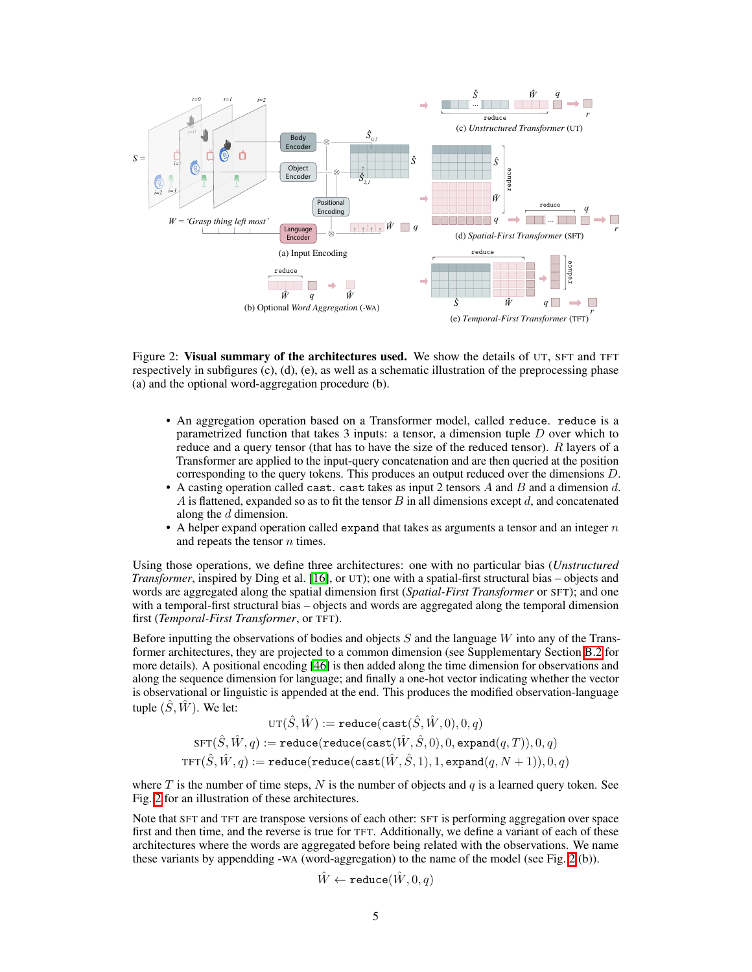

Figure 2: Visual summary of the architectures used. We show the details of UT, SFT and TFT respectively in subfigures (c), (d), (e), as well as a schematic illustration of the preprocessing phase (a) and the optional word-aggregation procedure (b).

- <span id="page-4-0"></span>• An aggregation operation based on a Transformer model, called reduce. reduce is a parametrized function that takes 3 inputs: a tensor, a dimension tuple *D* over which to reduce and a query tensor (that has to have the size of the reduced tensor). *R* layers of a Transformer are applied to the input-query concatenation and are then queried at the position corresponding to the query tokens. This produces an output reduced over the dimensions *D*.
- A casting operation called cast. cast takes as input 2 tensors *A* and *B* and a dimension *d*. *A* is flattened, expanded so as to fit the tensor *B* in all dimensions except *d*, and concatenated along the *d* dimension.
- A helper expand operation called expand that takes as arguments a tensor and an integer *n* and repeats the tensor *n* times.

Using those operations, we define three architectures: one with no particular bias (*Unstructured Transformer*, inspired by Ding et al. **[\[16\]](#page-10-6)**, or UT); one with a spatial-first structural bias – objects and words are aggregated along the spatial dimension first (*Spatial-First Transformer* or SFT); and one with a temporal-first structural bias – objects and words are aggregated along the temporal dimension first (*Temporal-First Transformer*, or TFT).

Before inputting the observations of bodies and objects *S* and the language *W* into any of the Transformer architectures, they are projected to a common dimension (see Supplementary Section **B.2** for more details). A positional encoding  $[46]$  is then added along the time dimension for observations and along the sequence dimension for language; and finally a one-hot vector indicating whether the vector is observational or linguistic is appended at the end. This produces the modified observation-language tuple  $(\hat{S}, \hat{W})$ . We let:

$$
\text{UT}(\hat{S}, \hat{W}) := \texttt{reduce}(\texttt{cast}(\hat{S}, \hat{W}, 0), 0, q) \\ \texttt{SFT}(\hat{S}, \hat{W}, q) := \texttt{reduce}(\texttt{reduce}(\texttt{cast}(\hat{W}, \hat{S}, 0), 0, \texttt{expand}(q, T)), 0, q) \\ \texttt{TFT}(\hat{S}, \hat{W}, q) := \texttt{reduce}(\texttt{reduce}(\texttt{cast}(\hat{W}, \hat{S}, 1), 1, \texttt{expand}(q, N+1)), 0, q)
$$

where  $T$  is the number of time steps,  $N$  is the number of objects and  $q$  is a learned query token. See Fig.  $\sqrt{2}$  for an illustration of these architectures.

Note that SFT and TFT are transpose versions of each other: SFT is performing aggregation over space first and then time, and the reverse is true for TFT. Additionally, we define a variant of each of these architectures where the words are aggregated before being related with the observations. We name these variants by appendding -WA (word-aggregation) to the name of the model (see Fig.  $\overline{2}$ (b)).

$$
\hat{W} \leftarrow \texttt{reduce}(\hat{W}, 0, q)
$$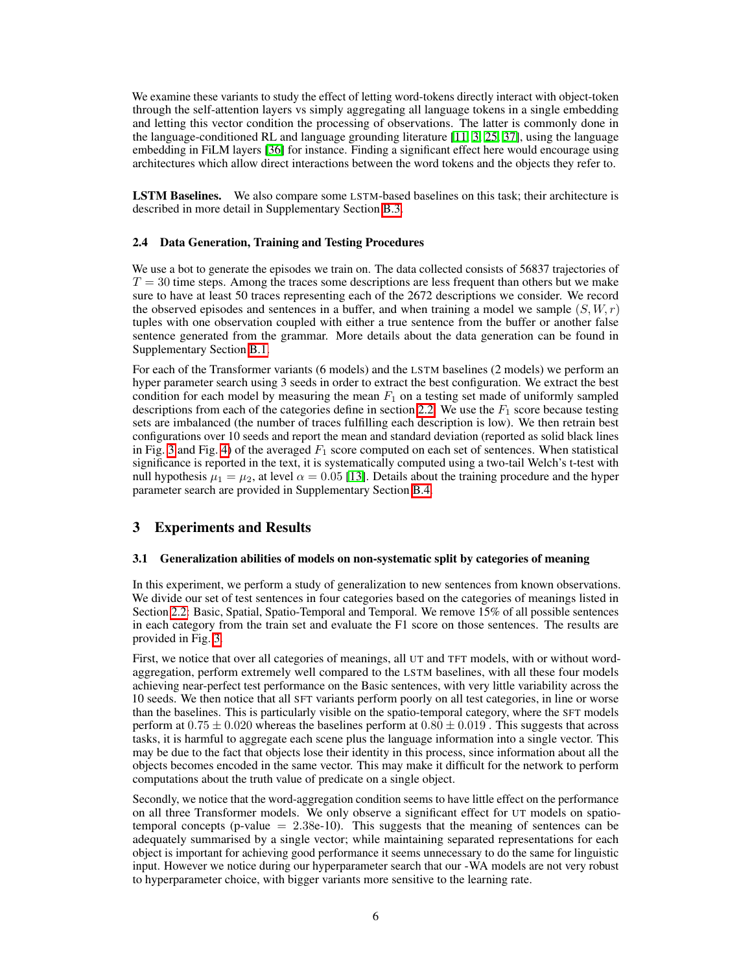We examine these variants to study the effect of letting word-tokens directly interact with object-token through the self-attention layers vs simply aggregating all language tokens in a single embedding and letting this vector condition the processing of observations. The latter is commonly done in the language-conditioned RL and language grounding literature  $\left[\prod_{i} \left|\frac{1}{2} \left|\frac{1}{2} \right|\right]$ , using the language embedding in FiLM layers **[\[36\]](#page-12-11)** for instance. Finding a significant effect here would encourage using architectures which allow direct interactions between the word tokens and the objects they refer to.

LSTM Baselines. We also compare some LSTM-based baselines on this task; their architecture is described in more detail in Supplementary Section **B.3.** 

#### 2.4 Data Generation, Training and Testing Procedures

We use a bot to generate the episodes we train on. The data collected consists of 56837 trajectories of  $T = 30$  time steps. Among the traces some descriptions are less frequent than others but we make sure to have at least 50 traces representing each of the 2672 descriptions we consider. We record the observed episodes and sentences in a buffer, and when training a model we sample  $(S, W, r)$ tuples with one observation coupled with either a true sentence from the buffer or another false sentence generated from the grammar. More details about the data generation can be found in Supplementary Section [B.1.](#page-0-3)

For each of the Transformer variants (6 models) and the LSTM baselines (2 models) we perform an hyper parameter search using 3 seeds in order to extract the best configuration. We extract the best condition for each model by measuring the mean  $F_1$  on a testing set made of uniformly sampled descriptions from each of the categories define in section  $\boxed{2.2}$ . We use the  $F_1$  score because testing sets are imbalanced (the number of traces fulfilling each description is low). We then retrain best configurations over 10 seeds and report the mean and standard deviation (reported as solid black lines in Fig.  $\overline{3}$  and Fig.  $\overline{4}$ ) of the averaged  $F_1$  score computed on each set of sentences. When statistical significance is reported in the text, it is systematically computed using a two-tail Welch's t-test with null hypothesis  $\mu_1 = \mu_2$ , at level  $\alpha = 0.05$  [\[13\]](#page-10-8). Details about the training procedure and the hyper parameter search are provided in Supplementary Section [B.4.](#page-0-4)

## <span id="page-5-1"></span>3 Experiments and Results

#### <span id="page-5-0"></span>3.1 Generalization abilities of models on non-systematic split by categories of meaning

In this experiment, we perform a study of generalization to new sentences from known observations. We divide our set of test sentences in four categories based on the categories of meanings listed in Section  $\overline{2.2}$ : Basic, Spatial, Spatio-Temporal and Temporal. We remove 15% of all possible sentences in each category from the train set and evaluate the F1 score on those sentences. The results are provided in Fig. [3.](#page-6-0)

First, we notice that over all categories of meanings, all UT and TFT models, with or without wordaggregation, perform extremely well compared to the LSTM baselines, with all these four models achieving near-perfect test performance on the Basic sentences, with very little variability across the 10 seeds. We then notice that all SFT variants perform poorly on all test categories, in line or worse than the baselines. This is particularly visible on the spatio-temporal category, where the SFT models perform at  $0.75 \pm 0.020$  whereas the baselines perform at  $0.80 \pm 0.019$ . This suggests that across tasks, it is harmful to aggregate each scene plus the language information into a single vector. This may be due to the fact that objects lose their identity in this process, since information about all the objects becomes encoded in the same vector. This may make it difficult for the network to perform computations about the truth value of predicate on a single object.

Secondly, we notice that the word-aggregation condition seems to have little effect on the performance on all three Transformer models. We only observe a significant effect for UT models on spatiotemporal concepts (p-value  $= 2.38e-10$ ). This suggests that the meaning of sentences can be adequately summarised by a single vector; while maintaining separated representations for each object is important for achieving good performance it seems unnecessary to do the same for linguistic input. However we notice during our hyperparameter search that our -WA models are not very robust to hyperparameter choice, with bigger variants more sensitive to the learning rate.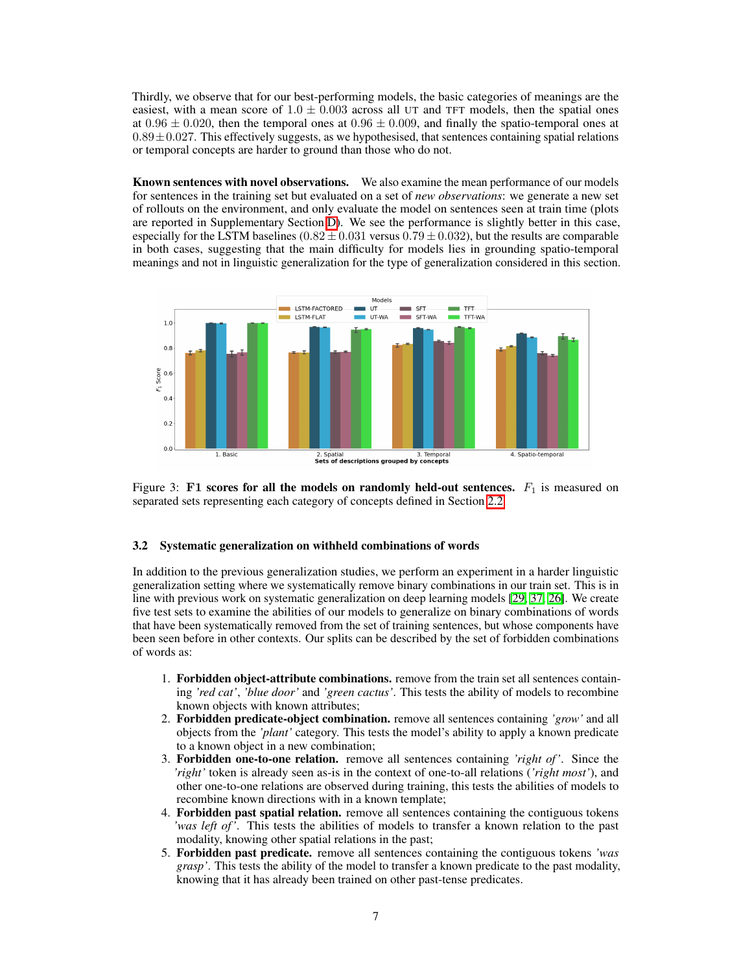Thirdly, we observe that for our best-performing models, the basic categories of meanings are the easiest, with a mean score of  $1.0 \pm 0.003$  across all UT and TFT models, then the spatial ones at  $0.96 \pm 0.020$ , then the temporal ones at  $0.96 \pm 0.009$ , and finally the spatio-temporal ones at  $0.89 \pm 0.027$ . This effectively suggests, as we hypothesised, that sentences containing spatial relations or temporal concepts are harder to ground than those who do not.

Known sentences with novel observations. We also examine the mean performance of our models for sentences in the training set but evaluated on a set of *new observations*: we generate a new set of rollouts on the environment, and only evaluate the model on sentences seen at train time (plots are reported in Supplementary Section  $\overline{D}$ ). We see the performance is slightly better in this case, especially for the LSTM baselines  $(0.82 \pm 0.031)$  versus  $(0.79 \pm 0.032)$ , but the results are comparable in both cases, suggesting that the main difficulty for models lies in grounding spatio-temporal meanings and not in linguistic generalization for the type of generalization considered in this section.



<span id="page-6-0"></span>Figure 3: F1 scores for all the models on randomly held-out sentences.  $F_1$  is measured on separated sets representing each category of concepts defined in Section 2.2

#### <span id="page-6-1"></span>3.2 Systematic generalization on withheld combinations of words

In addition to the previous generalization studies, we perform an experiment in a harder linguistic generalization setting where we systematically remove binary combinations in our train set. This is in line with previous work on systematic generalization on deep learning models [\[29,](#page-11-10) [37,](#page-12-10) [26\]](#page-11-11). We create five test sets to examine the abilities of our models to generalize on binary combinations of words that have been systematically removed from the set of training sentences, but whose components have been seen before in other contexts. Our splits can be described by the set of forbidden combinations of words as:

- 1. Forbidden object-attribute combinations. remove from the train set all sentences containing *'red cat'*, *'blue door'* and *'green cactus'*. This tests the ability of models to recombine known objects with known attributes;
- 2. Forbidden predicate-object combination. remove all sentences containing *'grow'* and all objects from the *'plant'* category. This tests the model's ability to apply a known predicate to a known object in a new combination;
- 3. Forbidden one-to-one relation. remove all sentences containing *'right of '*. Since the *'right'* token is already seen as-is in the context of one-to-all relations (*'right most'*), and other one-to-one relations are observed during training, this tests the abilities of models to recombine known directions with in a known template;
- 4. Forbidden past spatial relation. remove all sentences containing the contiguous tokens *'was left of '*. This tests the abilities of models to transfer a known relation to the past modality, knowing other spatial relations in the past;
- 5. Forbidden past predicate. remove all sentences containing the contiguous tokens *'was grasp'*. This tests the ability of the model to transfer a known predicate to the past modality, knowing that it has already been trained on other past-tense predicates.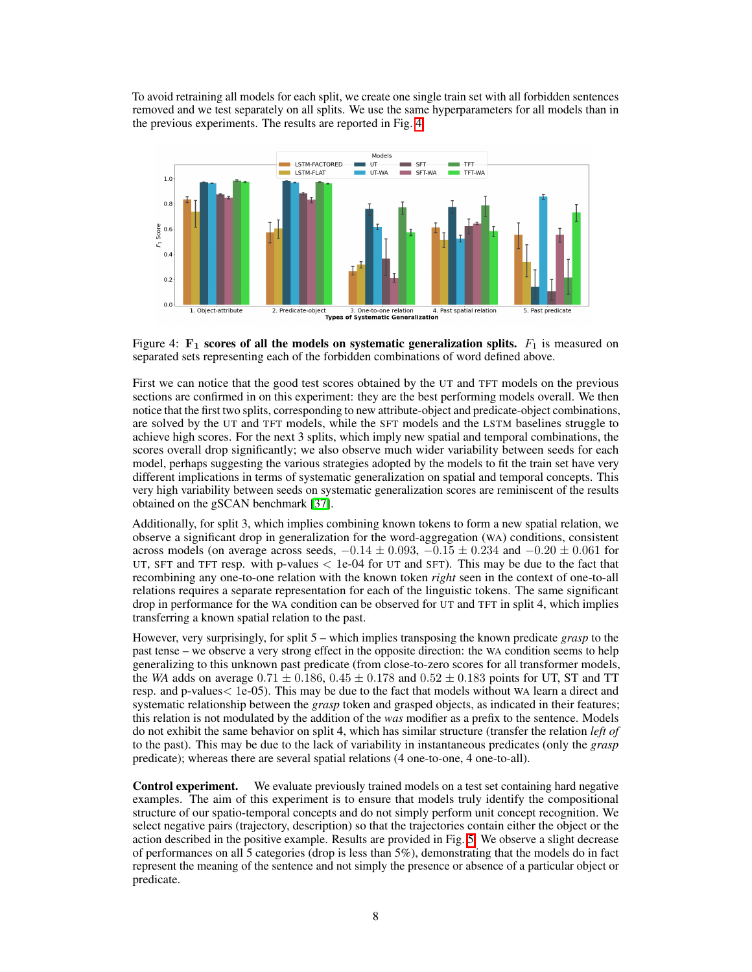To avoid retraining all models for each split, we create one single train set with all forbidden sentences removed and we test separately on all splits. We use the same hyperparameters for all models than in the previous experiments. The results are reported in Fig.  $\overline{A}$ .



<span id="page-7-0"></span>Figure 4:  $\mathbf{F}_1$  scores of all the models on systematic generalization splits.  $F_1$  is measured on separated sets representing each of the forbidden combinations of word defined above.

First we can notice that the good test scores obtained by the UT and TFT models on the previous sections are confirmed in on this experiment: they are the best performing models overall. We then notice that the first two splits, corresponding to new attribute-object and predicate-object combinations, are solved by the UT and TFT models, while the SFT models and the LSTM baselines struggle to achieve high scores. For the next 3 splits, which imply new spatial and temporal combinations, the scores overall drop significantly; we also observe much wider variability between seeds for each model, perhaps suggesting the various strategies adopted by the models to fit the train set have very different implications in terms of systematic generalization on spatial and temporal concepts. This very high variability between seeds on systematic generalization scores are reminiscent of the results obtained on the gSCAN benchmark [\[37\]](#page-12-10).

Additionally, for split 3, which implies combining known tokens to form a new spatial relation, we observe a significant drop in generalization for the word-aggregation (WA) conditions, consistent across models (on average across seeds,  $-0.14 \pm 0.093$ ,  $-0.15 \pm 0.234$  and  $-0.20 \pm 0.061$  for UT, SFT and TFT resp. with p-values *<* 1e-04 for UT and SFT). This may be due to the fact that recombining any one-to-one relation with the known token *right* seen in the context of one-to-all relations requires a separate representation for each of the linguistic tokens. The same significant drop in performance for the WA condition can be observed for UT and TFT in split 4, which implies transferring a known spatial relation to the past.

However, very surprisingly, for split 5 – which implies transposing the known predicate *grasp* to the past tense – we observe a very strong effect in the opposite direction: the WA condition seems to help generalizing to this unknown past predicate (from close-to-zero scores for all transformer models, the *WA* adds on average  $0.71 \pm 0.186$ ,  $0.45 \pm 0.178$  and  $0.52 \pm 0.183$  points for UT, ST and TT resp. and p-values*<* 1e-05). This may be due to the fact that models without WA learn a direct and systematic relationship between the *grasp* token and grasped objects, as indicated in their features; this relation is not modulated by the addition of the *was* modifier as a prefix to the sentence. Models do not exhibit the same behavior on split 4, which has similar structure (transfer the relation *left of* to the past). This may be due to the lack of variability in instantaneous predicates (only the *grasp* predicate); whereas there are several spatial relations (4 one-to-one, 4 one-to-all).

Control experiment. We evaluate previously trained models on a test set containing hard negative examples. The aim of this experiment is to ensure that models truly identify the compositional structure of our spatio-temporal concepts and do not simply perform unit concept recognition. We select negative pairs (trajectory, description) so that the trajectories contain either the object or the action described in the positive example. Results are provided in Fig.  $\overline{5}$ . We observe a slight decrease of performances on all 5 categories (drop is less than 5%), demonstrating that the models do in fact represent the meaning of the sentence and not simply the presence or absence of a particular object or predicate.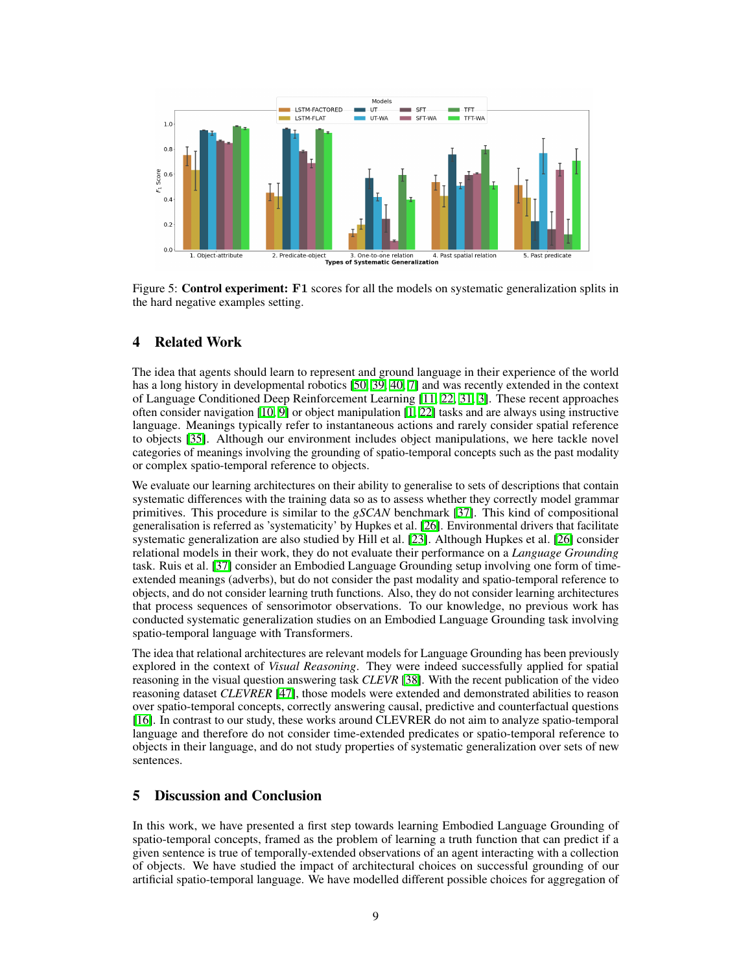

<span id="page-8-0"></span>Figure 5: **Control experiment:** F1 scores for all the models on systematic generalization splits in the hard negative examples setting.

## 4 Related Work

The idea that agents should learn to represent and ground language in their experience of the world has a long history in developmental robotics **[\[50,](#page-12-1) [39,](#page-12-0) [40,](#page-12-2) [7\]](#page-10-0)** and was recently extended in the context of Language Conditioned Deep Reinforcement Learning  $\boxed{11, 22, 31, 3}$  $\boxed{11, 22, 31, 3}$  $\boxed{11, 22, 31, 3}$  $\boxed{11, 22, 31, 3}$  $\boxed{11, 22, 31, 3}$ . These recent approaches often consider navigation  $[10, 9]$  $[10, 9]$  $[10, 9]$  or object manipulation  $[1, 22]$  $[1, 22]$  $[1, 22]$  tasks and are always using instructive language. Meanings typically refer to instantaneous actions and rarely consider spatial reference to objects [\[35\]](#page-12-12). Although our environment includes object manipulations, we here tackle novel categories of meanings involving the grounding of spatio-temporal concepts such as the past modality or complex spatio-temporal reference to objects.

We evaluate our learning architectures on their ability to generalise to sets of descriptions that contain systematic differences with the training data so as to assess whether they correctly model grammar primitives. This procedure is similar to the *gSCAN* benchmark [\[37\]](#page-12-10). This kind of compositional generalisation is referred as 'systematicity' by Hupkes et al.  $[26]$ . Environmental drivers that facilitate systematic generalization are also studied by Hill et al.  $[23]$ . Although Hupkes et al.  $[26]$  consider relational models in their work, they do not evaluate their performance on a *Language Grounding* task. Ruis et al. [\[37\]](#page-12-10) consider an Embodied Language Grounding setup involving one form of timeextended meanings (adverbs), but do not consider the past modality and spatio-temporal reference to objects, and do not consider learning truth functions. Also, they do not consider learning architectures that process sequences of sensorimotor observations. To our knowledge, no previous work has conducted systematic generalization studies on an Embodied Language Grounding task involving spatio-temporal language with Transformers.

The idea that relational architectures are relevant models for Language Grounding has been previously explored in the context of *Visual Reasoning*. They were indeed successfully applied for spatial reasoning in the visual question answering task *CLEVR* [\[38\]](#page-12-13). With the recent publication of the video reasoning dataset *CLEVRER* [\[47\]](#page-12-14), those models were extended and demonstrated abilities to reason over spatio-temporal concepts, correctly answering causal, predictive and counterfactual questions [\[16\]](#page-10-6). In contrast to our study, these works around CLEVRER do not aim to analyze spatio-temporal language and therefore do not consider time-extended predicates or spatio-temporal reference to objects in their language, and do not study properties of systematic generalization over sets of new sentences.

# <span id="page-8-1"></span>5 Discussion and Conclusion

In this work, we have presented a first step towards learning Embodied Language Grounding of spatio-temporal concepts, framed as the problem of learning a truth function that can predict if a given sentence is true of temporally-extended observations of an agent interacting with a collection of objects. We have studied the impact of architectural choices on successful grounding of our artificial spatio-temporal language. We have modelled different possible choices for aggregation of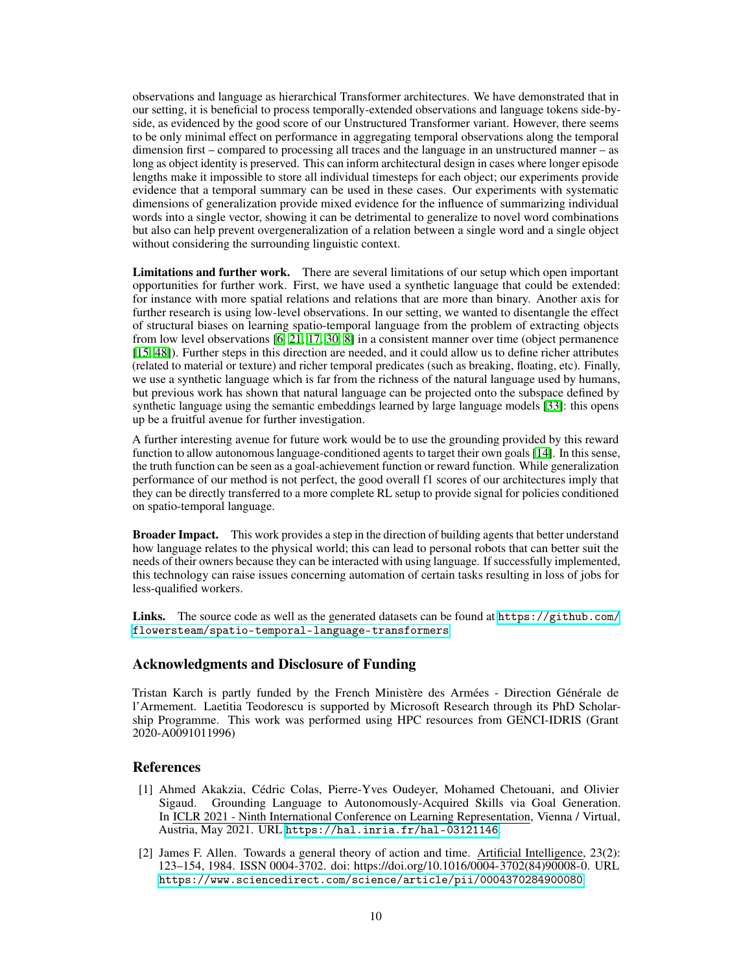observations and language as hierarchical Transformer architectures. We have demonstrated that in our setting, it is beneficial to process temporally-extended observations and language tokens side-byside, as evidenced by the good score of our Unstructured Transformer variant. However, there seems to be only minimal effect on performance in aggregating temporal observations along the temporal dimension first – compared to processing all traces and the language in an unstructured manner – as long as object identity is preserved. This can inform architectural design in cases where longer episode lengths make it impossible to store all individual timesteps for each object; our experiments provide evidence that a temporal summary can be used in these cases. Our experiments with systematic dimensions of generalization provide mixed evidence for the influence of summarizing individual words into a single vector, showing it can be detrimental to generalize to novel word combinations but also can help prevent overgeneralization of a relation between a single word and a single object without considering the surrounding linguistic context.

Limitations and further work. There are several limitations of our setup which open important opportunities for further work. First, we have used a synthetic language that could be extended: for instance with more spatial relations and relations that are more than binary. Another axis for further research is using low-level observations. In our setting, we wanted to disentangle the effect of structural biases on learning spatio-temporal language from the problem of extracting objects from low level observations  $\left[\frac{1}{21}, \frac{17}{20}, \frac{8}{8}\right]$  in a consistent manner over time (object permanence [\[15,](#page-10-12) [48\]](#page-12-15)). Further steps in this direction are needed, and it could allow us to define richer attributes (related to material or texture) and richer temporal predicates (such as breaking, floating, etc). Finally, we use a synthetic language which is far from the richness of the natural language used by humans, but previous work has shown that natural language can be projected onto the subspace defined by synthetic language using the semantic embeddings learned by large language models  $\boxed{33}$ : this opens up be a fruitful avenue for further investigation.

A further interesting avenue for future work would be to use the grounding provided by this reward function to allow autonomous language-conditioned agents to target their own goals  $[14]$ . In this sense, the truth function can be seen as a goal-achievement function or reward function. While generalization performance of our method is not perfect, the good overall f1 scores of our architectures imply that they can be directly transferred to a more complete RL setup to provide signal for policies conditioned on spatio-temporal language.

**Broader Impact.** This work provides a step in the direction of building agents that better understand how language relates to the physical world; this can lead to personal robots that can better suit the needs of their owners because they can be interacted with using language. If successfully implemented, this technology can raise issues concerning automation of certain tasks resulting in loss of jobs for less-qualified workers.

Links. The source code as well as the generated datasets can be found at  $\frac{h}{h}$ thes://github.com/ [flowersteam/spatio-temporal-language-transformers](https://github.com/flowersteam/spatio-temporal-language-transformers)

# Acknowledgments and Disclosure of Funding

Tristan Karch is partly funded by the French Ministère des Armées - Direction Générale de l'Armement. Laetitia Teodorescu is supported by Microsoft Research through its PhD Scholarship Programme. This work was performed using HPC resources from GENCI-IDRIS (Grant 2020-A0091011996)

## References

- <span id="page-9-0"></span>[1] Ahmed Akakzia, Cédric Colas, Pierre-Yves Oudeyer, Mohamed Chetouani, and Olivier Sigaud. Grounding Language to Autonomously-Acquired Skills via Goal Generation. In ICLR 2021 - Ninth International Conference on Learning Representation, Vienna / Virtual, Austria, May 2021. URL <https://hal.inria.fr/hal-03121146>.
- [2] James F. Allen. Towards a general theory of action and time. Artificial Intelligence, 23(2): 123–154, 1984. ISSN 0004-3702. doi: https://doi.org/10.1016/0004-3702(84)90008-0. URL <https://www.sciencedirect.com/science/article/pii/0004370284900080>.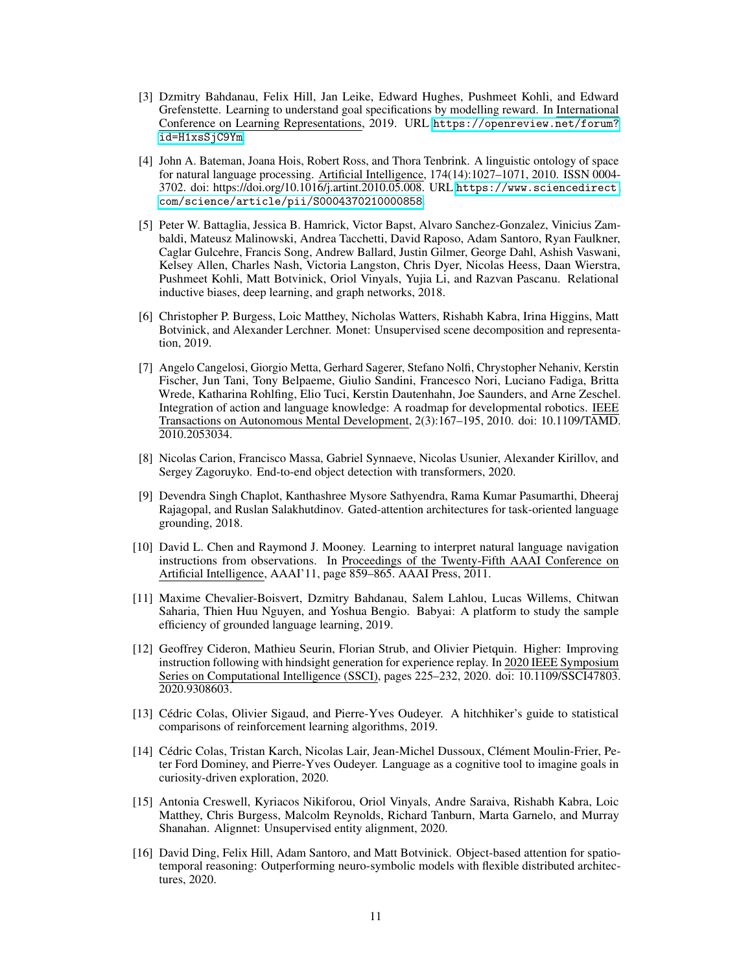- <span id="page-10-3"></span>[3] Dzmitry Bahdanau, Felix Hill, Jan Leike, Edward Hughes, Pushmeet Kohli, and Edward Grefenstette. Learning to understand goal specifications by modelling reward. In International Conference on Learning Representations, 2019. URL [https://openreview.net/forum?](https://openreview.net/forum?id=H1xsSjC9Ym) [id=H1xsSjC9Ym](https://openreview.net/forum?id=H1xsSjC9Ym).
- [4] John A. Bateman, Joana Hois, Robert Ross, and Thora Tenbrink. A linguistic ontology of space for natural language processing. Artificial Intelligence, 174(14):1027–1071, 2010. ISSN 0004- 3702. doi: https://doi.org/10.1016/j.artint.2010.05.008. URL [https://www.sciencedirect.](https://www.sciencedirect.com/science/article/pii/S0004370210000858) [com/science/article/pii/S0004370210000858](https://www.sciencedirect.com/science/article/pii/S0004370210000858).
- <span id="page-10-5"></span>[5] Peter W. Battaglia, Jessica B. Hamrick, Victor Bapst, Alvaro Sanchez-Gonzalez, Vinicius Zambaldi, Mateusz Malinowski, Andrea Tacchetti, David Raposo, Adam Santoro, Ryan Faulkner, Caglar Gulcehre, Francis Song, Andrew Ballard, Justin Gilmer, George Dahl, Ashish Vaswani, Kelsey Allen, Charles Nash, Victoria Langston, Chris Dyer, Nicolas Heess, Daan Wierstra, Pushmeet Kohli, Matt Botvinick, Oriol Vinyals, Yujia Li, and Razvan Pascanu. Relational inductive biases, deep learning, and graph networks, 2018.
- <span id="page-10-10"></span>[6] Christopher P. Burgess, Loic Matthey, Nicholas Watters, Rishabh Kabra, Irina Higgins, Matt Botvinick, and Alexander Lerchner. Monet: Unsupervised scene decomposition and representation, 2019.
- <span id="page-10-0"></span>[7] Angelo Cangelosi, Giorgio Metta, Gerhard Sagerer, Stefano Nolfi, Chrystopher Nehaniv, Kerstin Fischer, Jun Tani, Tony Belpaeme, Giulio Sandini, Francesco Nori, Luciano Fadiga, Britta Wrede, Katharina Rohlfing, Elio Tuci, Kerstin Dautenhahn, Joe Saunders, and Arne Zeschel. Integration of action and language knowledge: A roadmap for developmental robotics. IEEE Transactions on Autonomous Mental Development, 2(3):167–195, 2010. doi: 10.1109/TAMD. 2010.2053034.
- <span id="page-10-11"></span>[8] Nicolas Carion, Francisco Massa, Gabriel Synnaeve, Nicolas Usunier, Alexander Kirillov, and Sergey Zagoruyko. End-to-end object detection with transformers, 2020.
- <span id="page-10-1"></span>[9] Devendra Singh Chaplot, Kanthashree Mysore Sathyendra, Rama Kumar Pasumarthi, Dheeraj Rajagopal, and Ruslan Salakhutdinov. Gated-attention architectures for task-oriented language grounding, 2018.
- <span id="page-10-9"></span>[10] David L. Chen and Raymond J. Mooney. Learning to interpret natural language navigation instructions from observations. In Proceedings of the Twenty-Fifth AAAI Conference on Artificial Intelligence, AAAI'11, page 859–865. AAAI Press, 2011.
- <span id="page-10-7"></span>[11] Maxime Chevalier-Boisvert, Dzmitry Bahdanau, Salem Lahlou, Lucas Willems, Chitwan Saharia, Thien Huu Nguyen, and Yoshua Bengio. Babyai: A platform to study the sample efficiency of grounded language learning, 2019.
- <span id="page-10-2"></span>[12] Geoffrey Cideron, Mathieu Seurin, Florian Strub, and Olivier Pietquin. Higher: Improving instruction following with hindsight generation for experience replay. In 2020 IEEE Symposium Series on Computational Intelligence (SSCI), pages 225–232, 2020. doi: 10.1109/SSCI47803. 2020.9308603.
- <span id="page-10-8"></span>[13] Cédric Colas, Olivier Sigaud, and Pierre-Yves Oudeyer. A hitchhiker's guide to statistical comparisons of reinforcement learning algorithms, 2019.
- <span id="page-10-4"></span>[14] Cédric Colas, Tristan Karch, Nicolas Lair, Jean-Michel Dussoux, Clément Moulin-Frier, Peter Ford Dominey, and Pierre-Yves Oudeyer. Language as a cognitive tool to imagine goals in curiosity-driven exploration, 2020.
- <span id="page-10-12"></span>[15] Antonia Creswell, Kyriacos Nikiforou, Oriol Vinyals, Andre Saraiva, Rishabh Kabra, Loic Matthey, Chris Burgess, Malcolm Reynolds, Richard Tanburn, Marta Garnelo, and Murray Shanahan. Alignnet: Unsupervised entity alignment, 2020.
- <span id="page-10-6"></span>[16] David Ding, Felix Hill, Adam Santoro, and Matt Botvinick. Object-based attention for spatiotemporal reasoning: Outperforming neuro-symbolic models with flexible distributed architectures, 2020.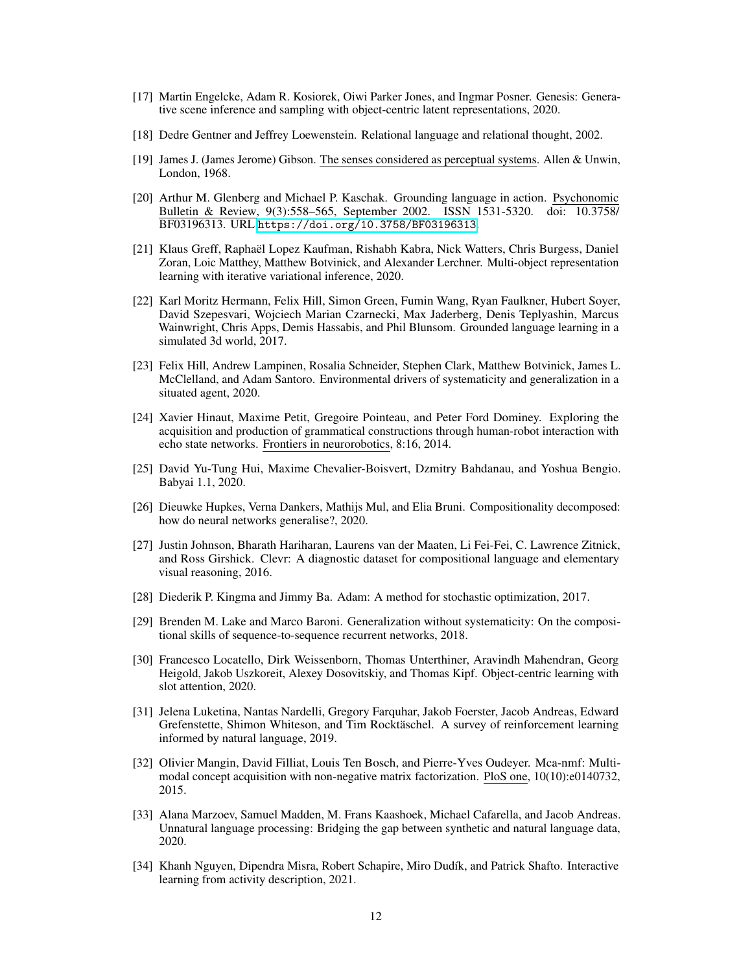- <span id="page-11-13"></span>[17] Martin Engelcke, Adam R. Kosiorek, Oiwi Parker Jones, and Ingmar Posner. Genesis: Generative scene inference and sampling with object-centric latent representations, 2020.
- <span id="page-11-7"></span>[18] Dedre Gentner and Jeffrey Loewenstein. Relational language and relational thought, 2002.
- <span id="page-11-8"></span>[19] James J. (James Jerome) Gibson. The senses considered as perceptual systems. Allen & Unwin, London, 1968.
- <span id="page-11-0"></span>[20] Arthur M. Glenberg and Michael P. Kaschak. Grounding language in action. Psychonomic Bulletin & Review, 9(3):558–565, September 2002. ISSN 1531-5320. doi: 10.3758/ BF03196313. URL <https://doi.org/10.3758/BF03196313>.
- <span id="page-11-12"></span>[21] Klaus Greff, Raphaël Lopez Kaufman, Rishabh Kabra, Nick Watters, Chris Burgess, Daniel Zoran, Loic Matthey, Matthew Botvinick, and Alexander Lerchner. Multi-object representation learning with iterative variational inference, 2020.
- <span id="page-11-5"></span>[22] Karl Moritz Hermann, Felix Hill, Simon Green, Fumin Wang, Ryan Faulkner, Hubert Soyer, David Szepesvari, Wojciech Marian Czarnecki, Max Jaderberg, Denis Teplyashin, Marcus Wainwright, Chris Apps, Demis Hassabis, and Phil Blunsom. Grounded language learning in a simulated 3d world, 2017.
- <span id="page-11-4"></span>[23] Felix Hill, Andrew Lampinen, Rosalia Schneider, Stephen Clark, Matthew Botvinick, James L. McClelland, and Adam Santoro. Environmental drivers of systematicity and generalization in a situated agent, 2020.
- <span id="page-11-1"></span>[24] Xavier Hinaut, Maxime Petit, Gregoire Pointeau, and Peter Ford Dominey. Exploring the acquisition and production of grammatical constructions through human-robot interaction with echo state networks. Frontiers in neurorobotics, 8:16, 2014.
- <span id="page-11-9"></span>[25] David Yu-Tung Hui, Maxime Chevalier-Boisvert, Dzmitry Bahdanau, and Yoshua Bengio. Babyai 1.1, 2020.
- <span id="page-11-11"></span>[26] Dieuwke Hupkes, Verna Dankers, Mathijs Mul, and Elia Bruni. Compositionality decomposed: how do neural networks generalise?, 2020.
- [27] Justin Johnson, Bharath Hariharan, Laurens van der Maaten, Li Fei-Fei, C. Lawrence Zitnick, and Ross Girshick. Clevr: A diagnostic dataset for compositional language and elementary visual reasoning, 2016.
- [28] Diederik P. Kingma and Jimmy Ba. Adam: A method for stochastic optimization, 2017.
- <span id="page-11-10"></span>[29] Brenden M. Lake and Marco Baroni. Generalization without systematicity: On the compositional skills of sequence-to-sequence recurrent networks, 2018.
- <span id="page-11-14"></span>[30] Francesco Locatello, Dirk Weissenborn, Thomas Unterthiner, Aravindh Mahendran, Georg Heigold, Jakob Uszkoreit, Alexey Dosovitskiy, and Thomas Kipf. Object-centric learning with slot attention, 2020.
- <span id="page-11-3"></span>[31] Jelena Luketina, Nantas Nardelli, Gregory Farquhar, Jakob Foerster, Jacob Andreas, Edward Grefenstette, Shimon Whiteson, and Tim Rocktäschel. A survey of reinforcement learning informed by natural language, 2019.
- <span id="page-11-2"></span>[32] Olivier Mangin, David Filliat, Louis Ten Bosch, and Pierre-Yves Oudeyer. Mca-nmf: Multimodal concept acquisition with non-negative matrix factorization. PloS one, 10(10):e0140732, 2015.
- <span id="page-11-15"></span>[33] Alana Marzoev, Samuel Madden, M. Frans Kaashoek, Michael Cafarella, and Jacob Andreas. Unnatural language processing: Bridging the gap between synthetic and natural language data, 2020.
- <span id="page-11-6"></span>[34] Khanh Nguyen, Dipendra Misra, Robert Schapire, Miro Dudík, and Patrick Shafto. Interactive learning from activity description, 2021.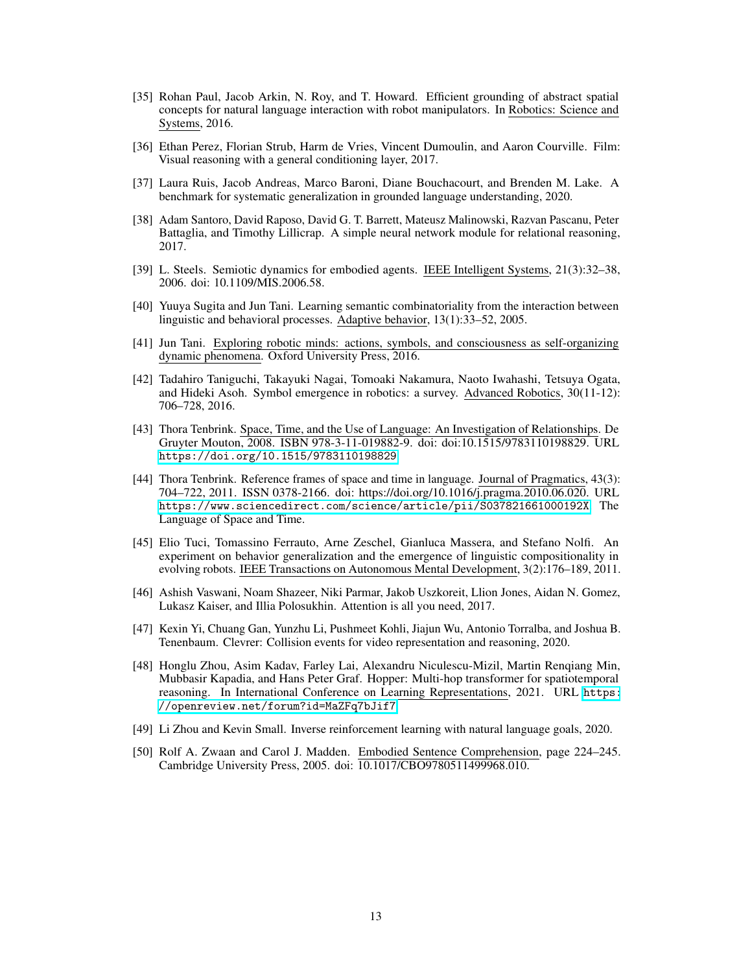- <span id="page-12-12"></span>[35] Rohan Paul, Jacob Arkin, N. Roy, and T. Howard. Efficient grounding of abstract spatial concepts for natural language interaction with robot manipulators. In Robotics: Science and Systems, 2016.
- <span id="page-12-11"></span>[36] Ethan Perez, Florian Strub, Harm de Vries, Vincent Dumoulin, and Aaron Courville. Film: Visual reasoning with a general conditioning layer, 2017.
- <span id="page-12-10"></span>[37] Laura Ruis, Jacob Andreas, Marco Baroni, Diane Bouchacourt, and Brenden M. Lake. A benchmark for systematic generalization in grounded language understanding, 2020.
- <span id="page-12-13"></span>[38] Adam Santoro, David Raposo, David G. T. Barrett, Mateusz Malinowski, Razvan Pascanu, Peter Battaglia, and Timothy Lillicrap. A simple neural network module for relational reasoning, 2017.
- <span id="page-12-0"></span>[39] L. Steels. Semiotic dynamics for embodied agents. IEEE Intelligent Systems, 21(3):32–38, 2006. doi: 10.1109/MIS.2006.58.
- <span id="page-12-2"></span>[40] Yuuya Sugita and Jun Tani. Learning semantic combinatoriality from the interaction between linguistic and behavioral processes. Adaptive behavior, 13(1):33–52, 2005.
- <span id="page-12-5"></span>[41] Jun Tani. Exploring robotic minds: actions, symbols, and consciousness as self-organizing dynamic phenomena. Oxford University Press, 2016.
- <span id="page-12-4"></span>[42] Tadahiro Taniguchi, Takayuki Nagai, Tomoaki Nakamura, Naoto Iwahashi, Tetsuya Ogata, and Hideki Asoh. Symbol emergence in robotics: a survey. Advanced Robotics, 30(11-12): 706–728, 2016.
- <span id="page-12-7"></span>[43] Thora Tenbrink. Space, Time, and the Use of Language: An Investigation of Relationships. De Gruyter Mouton, 2008. ISBN 978-3-11-019882-9. doi: doi:10.1515/9783110198829. URL <https://doi.org/10.1515/9783110198829>.
- <span id="page-12-8"></span>[44] Thora Tenbrink. Reference frames of space and time in language. Journal of Pragmatics, 43(3): 704–722, 2011. ISSN 0378-2166. doi: https://doi.org/10.1016/j.pragma.2010.06.020. URL <https://www.sciencedirect.com/science/article/pii/S037821661000192X>. The Language of Space and Time.
- <span id="page-12-3"></span>[45] Elio Tuci, Tomassino Ferrauto, Arne Zeschel, Gianluca Massera, and Stefano Nolfi. An experiment on behavior generalization and the emergence of linguistic compositionality in evolving robots. IEEE Transactions on Autonomous Mental Development, 3(2):176–189, 2011.
- <span id="page-12-9"></span>[46] Ashish Vaswani, Noam Shazeer, Niki Parmar, Jakob Uszkoreit, Llion Jones, Aidan N. Gomez, Lukasz Kaiser, and Illia Polosukhin. Attention is all you need, 2017.
- <span id="page-12-14"></span>[47] Kexin Yi, Chuang Gan, Yunzhu Li, Pushmeet Kohli, Jiajun Wu, Antonio Torralba, and Joshua B. Tenenbaum. Clevrer: Collision events for video representation and reasoning, 2020.
- <span id="page-12-15"></span>[48] Honglu Zhou, Asim Kadav, Farley Lai, Alexandru Niculescu-Mizil, Martin Renqiang Min, Mubbasir Kapadia, and Hans Peter Graf. Hopper: Multi-hop transformer for spatiotemporal reasoning. In International Conference on Learning Representations, 2021. URL [https:](https://openreview.net/forum?id=MaZFq7bJif7) [//openreview.net/forum?id=MaZFq7bJif7](https://openreview.net/forum?id=MaZFq7bJif7).
- <span id="page-12-6"></span>[49] Li Zhou and Kevin Small. Inverse reinforcement learning with natural language goals, 2020.
- <span id="page-12-1"></span>[50] Rolf A. Zwaan and Carol J. Madden. Embodied Sentence Comprehension, page 224–245. Cambridge University Press, 2005. doi: 10.1017/CBO9780511499968.010.